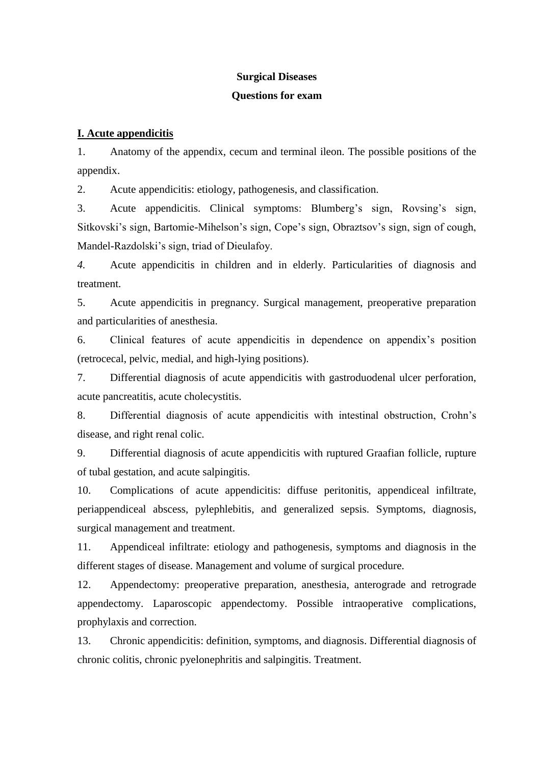## **Surgical Diseases**

## **Questions for exam**

## **I. Acute appendicitis**

1. Anatomy of the appendix, cecum and terminal ileon. The possible positions of the appendix.

2. Acute appendicitis: etiology, pathogenesis, and classification.

3. Acute appendicitis. Clinical symptoms: Blumberg's sign, Rovsing's sign, Sitkovski's sign, Bartomie-Mihelson's sign, Cope's sign, Obraztsov's sign, sign of cough, Mandel-Razdolski's sign, triad of Dieulafoy.

*4.* Acute appendicitis in children and in elderly. Particularities of diagnosis and treatment.

5. Acute appendicitis in pregnancy. Surgical management, preoperative preparation and particularities of anesthesia.

6. Clinical features of acute appendicitis in dependence on appendix's position (retrocecal, pelvic, medial, and high-lying positions).

7. Differential diagnosis of acute appendicitis with gastroduodenal ulcer perforation, acute pancreatitis, acute cholecystitis.

8. Differential diagnosis of acute appendicitis with intestinal obstruction, Crohn's disease, and right renal colic.

9. Differential diagnosis of acute appendicitis with ruptured Graafian follicle, rupture of tubal gestation, and acute salpingitis.

10. Complications of acute appendicitis: diffuse peritonitis, appendiceal infiltrate, periappendiceal abscess, pylephlebitis, and generalized sepsis. Symptoms, diagnosis, surgical management and treatment.

11. Appendiceal infiltrate: etiology and pathogenesis, symptoms and diagnosis in the different stages of disease. Management and volume of surgical procedure.

12. Appendectomy: preoperative preparation, anesthesia, anterograde and retrograde appendectomy. Laparoscopic appendectomy. Possible intraoperative complications, prophylaxis and correction.

13. Chronic appendicitis: definition, symptoms, and diagnosis. Differential diagnosis of chronic colitis, chronic pyelonephritis and salpingitis. Treatment.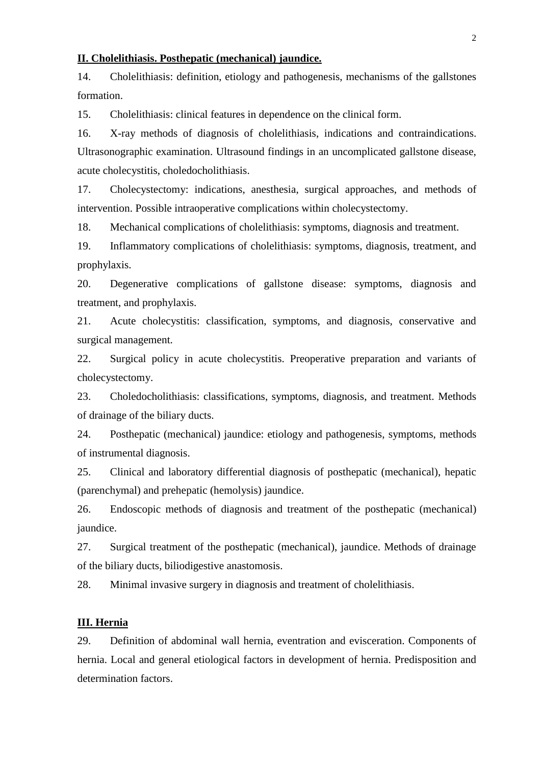### **II. Cholelithiasis. Posthepatic (mechanical) jaundice.**

14. Cholelithiasis: definition, etiology and pathogenesis, mechanisms of the gallstones formation.

15. Cholelithiasis: clinical features in dependence on the clinical form.

16. X-ray methods of diagnosis of cholelithiasis, indications and contraindications. Ultrasonographic examination. Ultrasound findings in an uncomplicated gallstone disease, acute cholecystitis, choledocholithiasis.

17. Cholecystectomy: indications, anesthesia, surgical approaches, and methods of intervention. Possible intraoperative complications within cholecystectomy.

18. Mechanical complications of cholelithiasis: symptoms, diagnosis and treatment.

19. Inflammatory complications of cholelithiasis: symptoms, diagnosis, treatment, and prophylaxis.

20. Degenerative complications of gallstone disease: symptoms, diagnosis and treatment, and prophylaxis.

21. Acute cholecystitis: classification, symptoms, and diagnosis, conservative and surgical management.

22. Surgical policy in acute cholecystitis. Preoperative preparation and variants of cholecystectomy.

23. Choledocholithiasis: classifications, symptoms, diagnosis, and treatment. Methods of drainage of the biliary ducts.

24. Posthepatic (mechanical) jaundice: etiology and pathogenesis, symptoms, methods of instrumental diagnosis.

25. Clinical and laboratory differential diagnosis of posthepatic (mechanical), hepatic (parenchymal) and prehepatic (hemolysis) jaundice.

26. Endoscopic methods of diagnosis and treatment of the posthepatic (mechanical) jaundice.

27. Surgical treatment of the posthepatic (mechanical), jaundice. Methods of drainage of the biliary ducts, biliodigestive anastomosis.

28. Minimal invasive surgery in diagnosis and treatment of cholelithiasis.

## **III. Hernia**

29. Definition of abdominal wall hernia, eventration and evisceration. Components of hernia. Local and general etiological factors in development of hernia. Predisposition and determination factors.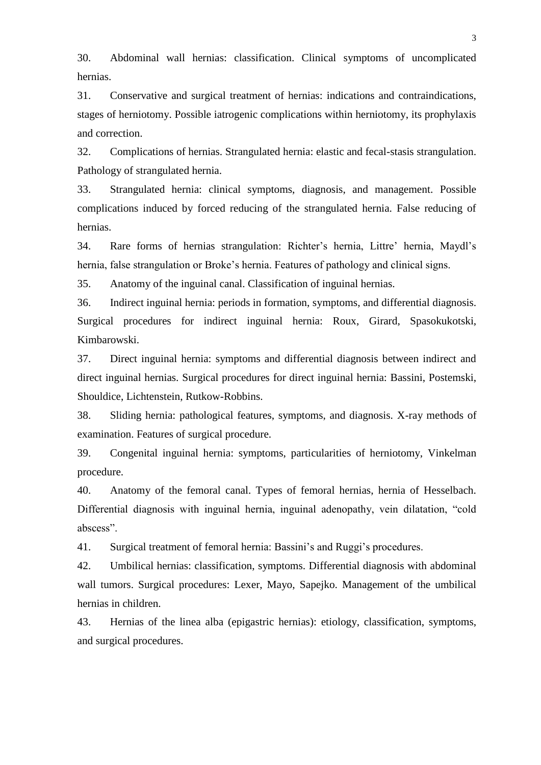30. Abdominal wall hernias: classification. Clinical symptoms of uncomplicated hernias.

31. Conservative and surgical treatment of hernias: indications and contraindications, stages of herniotomy. Possible iatrogenic complications within herniotomy, its prophylaxis and correction.

32. Complications of hernias. Strangulated hernia: elastic and fecal-stasis strangulation. Pathology of strangulated hernia.

33. Strangulated hernia: clinical symptoms, diagnosis, and management. Possible complications induced by forced reducing of the strangulated hernia. False reducing of hernias.

34. Rare forms of hernias strangulation: Richter's hernia, Littre' hernia, Maydl's hernia, false strangulation or Broke's hernia. Features of pathology and clinical signs.

35. Anatomy of the inguinal canal. Classification of inguinal hernias.

36. Indirect inguinal hernia: periods in formation, symptoms, and differential diagnosis. Surgical procedures for indirect inguinal hernia: Roux, Girard, Spasokukotski, Kimbarowski.

37. Direct inguinal hernia: symptoms and differential diagnosis between indirect and direct inguinal hernias. Surgical procedures for direct inguinal hernia: Bassini, Postemski, Shouldice, Lichtenstein, Rutkow-Robbins.

38. Sliding hernia: pathological features, symptoms, and diagnosis. X-ray methods of examination. Features of surgical procedure.

39. Congenital inguinal hernia: symptoms, particularities of herniotomy, Vinkelman procedure.

40. Anatomy of the femoral canal. Types of femoral hernias, hernia of Hesselbach. Differential diagnosis with inguinal hernia, inguinal adenopathy, vein dilatation, "cold abscess".

41. Surgical treatment of femoral hernia: Bassini's and Ruggi's procedures.

42. Umbilical hernias: classification, symptoms. Differential diagnosis with abdominal wall tumors. Surgical procedures: Lexer, Mayo, Sapejko. Management of the umbilical hernias in children.

43. Hernias of the linea alba (epigastric hernias): etiology, classification, symptoms, and surgical procedures.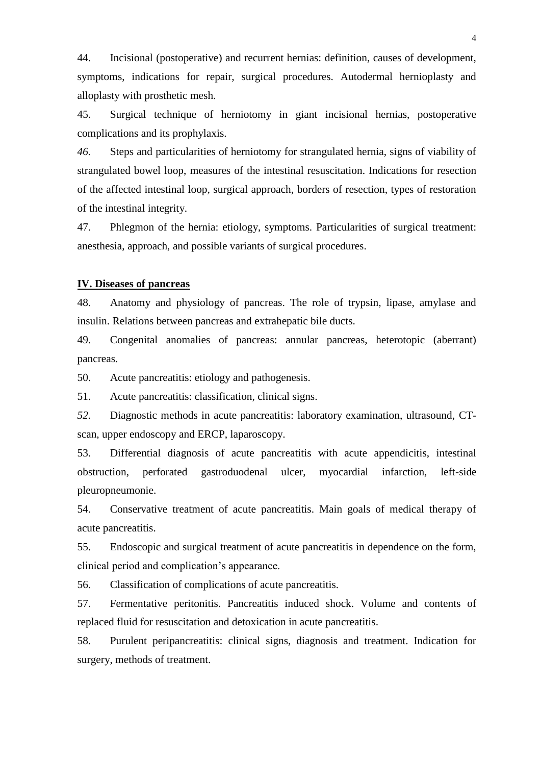44. Incisional (postoperative) and recurrent hernias: definition, causes of development, symptoms, indications for repair, surgical procedures. Autodermal hernioplasty and alloplasty with prosthetic mesh.

45. Surgical technique of herniotomy in giant incisional hernias, postoperative complications and its prophylaxis.

*46.* Steps and particularities of herniotomy for strangulated hernia, signs of viability of strangulated bowel loop, measures of the intestinal resuscitation. Indications for resection of the affected intestinal loop, surgical approach, borders of resection, types of restoration of the intestinal integrity*.*

47. Phlegmon of the hernia: etiology, symptoms. Particularities of surgical treatment: anesthesia, approach, and possible variants of surgical procedures.

# **IV. Diseases of pancreas**

48. Anatomy and physiology of pancreas. The role of trypsin, lipase, amylase and insulin. Relations between pancreas and extrahepatic bile ducts.

49. Congenital anomalies of pancreas: annular pancreas, heterotopic (aberrant) pancreas.

50. Acute pancreatitis: etiology and pathogenesis.

51. Acute pancreatitis: classification, clinical signs.

*52.* Diagnostic methods in acute pancreatitis: laboratory examination, ultrasound, CTscan, upper endoscopy and ERCP, laparoscopy.

53. Differential diagnosis of acute pancreatitis with acute appendicitis, intestinal obstruction, perforated gastroduodenal ulcer, myocardial infarction, left-side pleuropneumonie.

54. Conservative treatment of acute pancreatitis. Main goals of medical therapy of acute pancreatitis.

55. Endoscopic and surgical treatment of acute pancreatitis in dependence on the form, clinical period and complication's appearance.

56. Classification of complications of acute pancreatitis.

57. Fermentative peritonitis. Pancreatitis induced shock. Volume and contents of replaced fluid for resuscitation and detoxication in acute pancreatitis.

58. Purulent peripancreatitis: clinical signs, diagnosis and treatment. Indication for surgery, methods of treatment.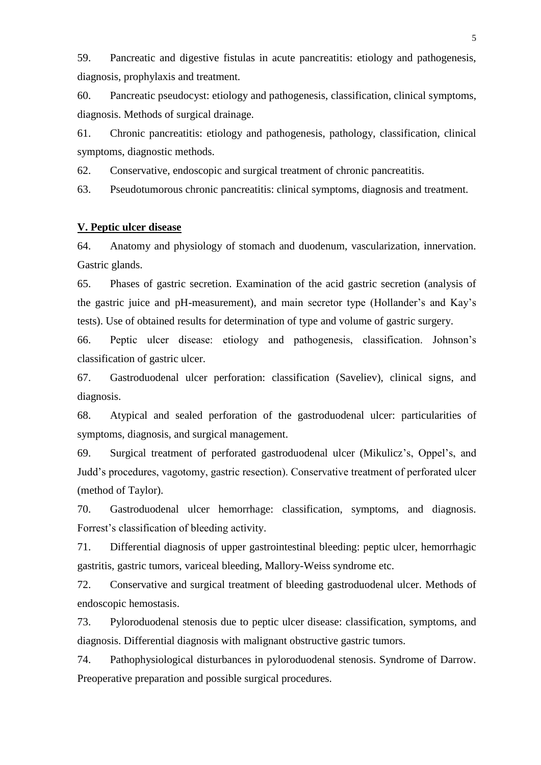59. Pancreatic and digestive fistulas in acute pancreatitis: etiology and pathogenesis, diagnosis, prophylaxis and treatment.

60. Pancreatic pseudocyst: etiology and pathogenesis, classification, clinical symptoms, diagnosis. Methods of surgical drainage.

61. Chronic pancreatitis: etiology and pathogenesis, pathology, classification, clinical symptoms, diagnostic methods.

62. Conservative, endoscopic and surgical treatment of chronic pancreatitis.

63. Pseudotumorous chronic pancreatitis: clinical symptoms, diagnosis and treatment.

## **V. Peptic ulcer disease**

64. Anatomy and physiology of stomach and duodenum, vascularization, innervation. Gastric glands.

65. Phases of gastric secretion. Examination of the acid gastric secretion (analysis of the gastric juice and pH-measurement), and main secretor type (Hollander's and Kay's tests). Use of obtained results for determination of type and volume of gastric surgery.

66. Peptic ulcer disease: etiology and pathogenesis, classification. Johnson's classification of gastric ulcer.

67. Gastroduodenal ulcer perforation: classification (Saveliev), clinical signs, and diagnosis.

68. Atypical and sealed perforation of the gastroduodenal ulcer: particularities of symptoms, diagnosis, and surgical management.

69. Surgical treatment of perforated gastroduodenal ulcer (Mikulicz's, Oppel's, and Judd's procedures, vagotomy, gastric resection). Conservative treatment of perforated ulcer (method of Taylor).

70. Gastroduodenal ulcer hemorrhage: classification, symptoms, and diagnosis. Forrest's classification of bleeding activity.

71. Differential diagnosis of upper gastrointestinal bleeding: peptic ulcer, hemorrhagic gastritis, gastric tumors, variceal bleeding, Mallory-Weiss syndrome etc.

72. Conservative and surgical treatment of bleeding gastroduodenal ulcer. Methods of endoscopic hemostasis.

73. Pyloroduodenal stenosis due to peptic ulcer disease: classification, symptoms, and diagnosis. Differential diagnosis with malignant obstructive gastric tumors.

74. Pathophysiological disturbances in pyloroduodenal stenosis. Syndrome of Darrow. Preoperative preparation and possible surgical procedures.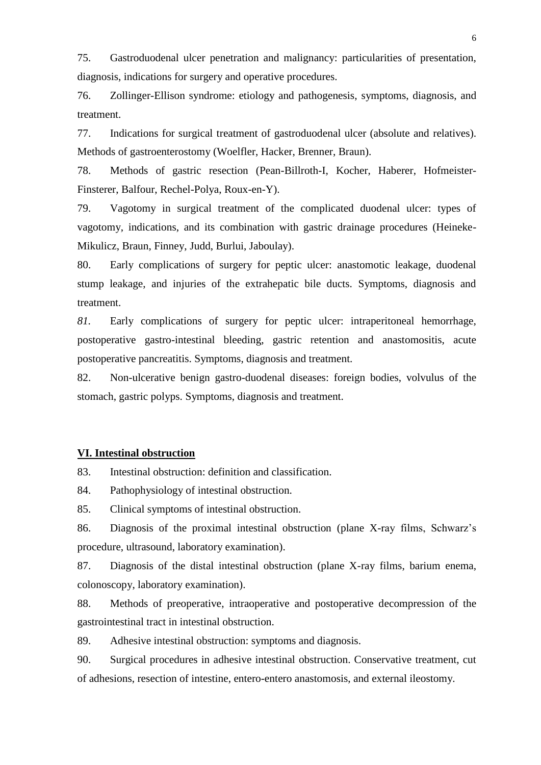75. Gastroduodenal ulcer penetration and malignancy: particularities of presentation, diagnosis, indications for surgery and operative procedures.

76. Zollinger-Ellison syndrome: etiology and pathogenesis, symptoms, diagnosis, and treatment.

77. Indications for surgical treatment of gastroduodenal ulcer (absolute and relatives). Methods of gastroenterostomy (Woelfler, Hacker, Brenner, Braun).

78. Methods of gastric resection (Pean-Billroth-I, Kocher, Haberer, Hofmeister-Finsterer, Balfour, Rechel-Polya, Roux-en-Y).

79. Vagotomy in surgical treatment of the complicated duodenal ulcer: types of vagotomy, indications, and its combination with gastric drainage procedures (Heineke-Mikulicz, Braun, Finney, Judd, Burlui, Jaboulay).

80. Early complications of surgery for peptic ulcer: anastomotic leakage, duodenal stump leakage, and injuries of the extrahepatic bile ducts. Symptoms, diagnosis and treatment.

*81.* Early complications of surgery for peptic ulcer: intraperitoneal hemorrhage, postoperative gastro-intestinal bleeding, gastric retention and anastomositis, acute postoperative pancreatitis. Symptoms, diagnosis and treatment.

82. Non-ulcerative benign gastro-duodenal diseases: foreign bodies, volvulus of the stomach, gastric polyps. Symptoms, diagnosis and treatment.

# **VI. Intestinal obstruction**

83. Intestinal obstruction: definition and classification.

84. Pathophysiology of intestinal obstruction.

85. Clinical symptoms of intestinal obstruction.

86. Diagnosis of the proximal intestinal obstruction (plane X-ray films, Schwarz's procedure, ultrasound, laboratory examination).

87. Diagnosis of the distal intestinal obstruction (plane X-ray films, barium enema, colonoscopy, laboratory examination).

88. Methods of preoperative, intraoperative and postoperative decompression of the gastrointestinal tract in intestinal obstruction.

89. Adhesive intestinal obstruction: symptoms and diagnosis.

90. Surgical procedures in adhesive intestinal obstruction. Conservative treatment, cut of adhesions, resection of intestine, entero-entero anastomosis, and external ileostomy.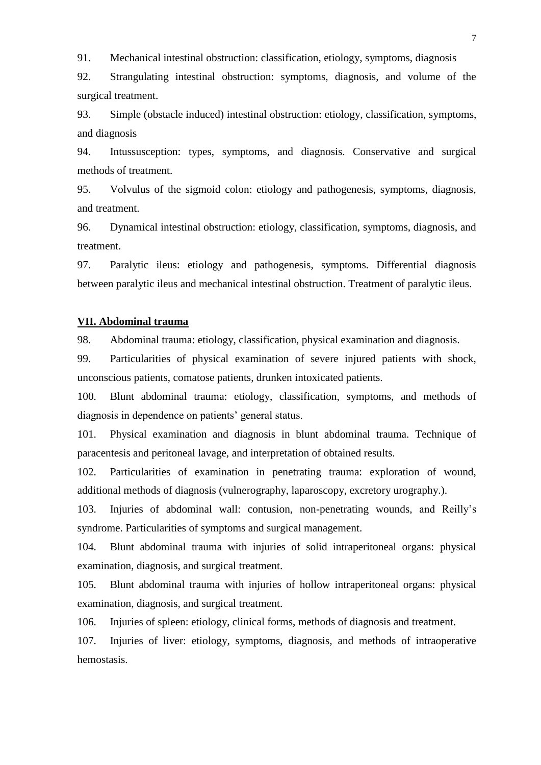91. Mechanical intestinal obstruction: classification, etiology, symptoms, diagnosis

92. Strangulating intestinal obstruction: symptoms, diagnosis, and volume of the surgical treatment.

93. Simple (obstacle induced) intestinal obstruction: etiology, classification, symptoms, and diagnosis

94. Intussusception: types, symptoms, and diagnosis. Conservative and surgical methods of treatment.

95. Volvulus of the sigmoid colon: etiology and pathogenesis, symptoms, diagnosis, and treatment.

96. Dynamical intestinal obstruction: etiology, classification, symptoms, diagnosis, and treatment.

97. Paralytic ileus: etiology and pathogenesis, symptoms. Differential diagnosis between paralytic ileus and mechanical intestinal obstruction. Treatment of paralytic ileus.

#### **VII. Abdominal trauma**

98. Abdominal trauma: etiology, classification, physical examination and diagnosis.

99. Particularities of physical examination of severe injured patients with shock, unconscious patients, comatose patients, drunken intoxicated patients.

100. Blunt abdominal trauma: etiology, classification, symptoms, and methods of diagnosis in dependence on patients' general status.

101. Physical examination and diagnosis in blunt abdominal trauma. Technique of paracentesis and peritoneal lavage, and interpretation of obtained results.

102. Particularities of examination in penetrating trauma: exploration of wound, additional methods of diagnosis (vulnerography, laparoscopy, excretory urography.).

103. Injuries of abdominal wall: contusion, non-penetrating wounds, and Reilly's syndrome. Particularities of symptoms and surgical management.

104. Blunt abdominal trauma with injuries of solid intraperitoneal organs: physical examination, diagnosis, and surgical treatment.

105. Blunt abdominal trauma with injuries of hollow intraperitoneal organs: physical examination, diagnosis, and surgical treatment.

106. Injuries of spleen: etiology, clinical forms, methods of diagnosis and treatment.

107. Injuries of liver: etiology, symptoms, diagnosis, and methods of intraoperative hemostasis.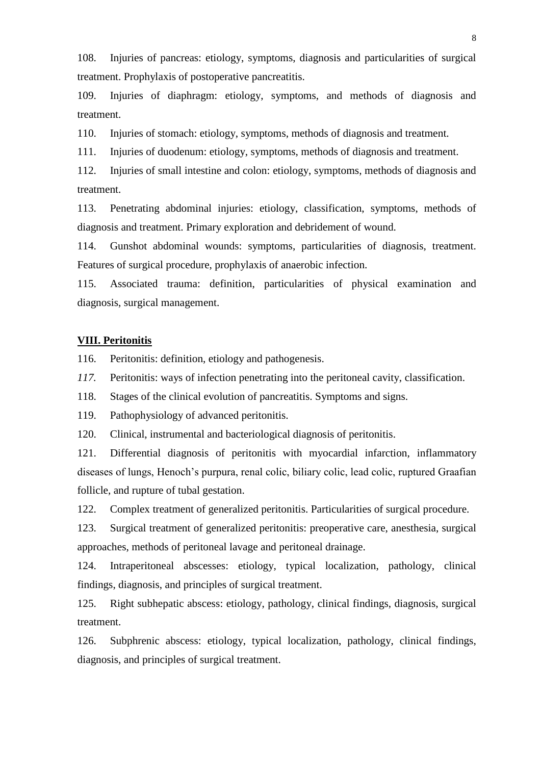108. Injuries of pancreas: etiology, symptoms, diagnosis and particularities of surgical treatment. Prophylaxis of postoperative pancreatitis.

109. Injuries of diaphragm: etiology, symptoms, and methods of diagnosis and treatment.

110. Injuries of stomach: etiology, symptoms, methods of diagnosis and treatment.

111. Injuries of duodenum: etiology, symptoms, methods of diagnosis and treatment.

112. Injuries of small intestine and colon: etiology, symptoms, methods of diagnosis and treatment.

113. Penetrating abdominal injuries: etiology, classification, symptoms, methods of diagnosis and treatment. Primary exploration and debridement of wound.

114. Gunshot abdominal wounds: symptoms, particularities of diagnosis, treatment. Features of surgical procedure, prophylaxis of anaerobic infection.

115. Associated trauma: definition, particularities of physical examination and diagnosis, surgical management.

### **VIII. Peritonitis**

116. Peritonitis: definition, etiology and pathogenesis.

*117.* Peritonitis: ways of infection penetrating into the peritoneal cavity, classification.

118. Stages of the clinical evolution of pancreatitis. Symptoms and signs.

119. Pathophysiology of advanced peritonitis.

120. Clinical, instrumental and bacteriological diagnosis of peritonitis.

121. Differential diagnosis of peritonitis with myocardial infarction, inflammatory diseases of lungs, Henoch's purpura, renal colic, biliary colic, lead colic, ruptured Graafian follicle, and rupture of tubal gestation.

122. Complex treatment of generalized peritonitis. Particularities of surgical procedure.

123. Surgical treatment of generalized peritonitis: preoperative care, anesthesia, surgical approaches, methods of peritoneal lavage and peritoneal drainage.

124. Intraperitoneal abscesses: etiology, typical localization, pathology, clinical findings, diagnosis, and principles of surgical treatment.

125. Right subhepatic abscess: etiology, pathology, clinical findings, diagnosis, surgical treatment.

126. Subphrenic abscess: etiology, typical localization, pathology, clinical findings, diagnosis, and principles of surgical treatment.